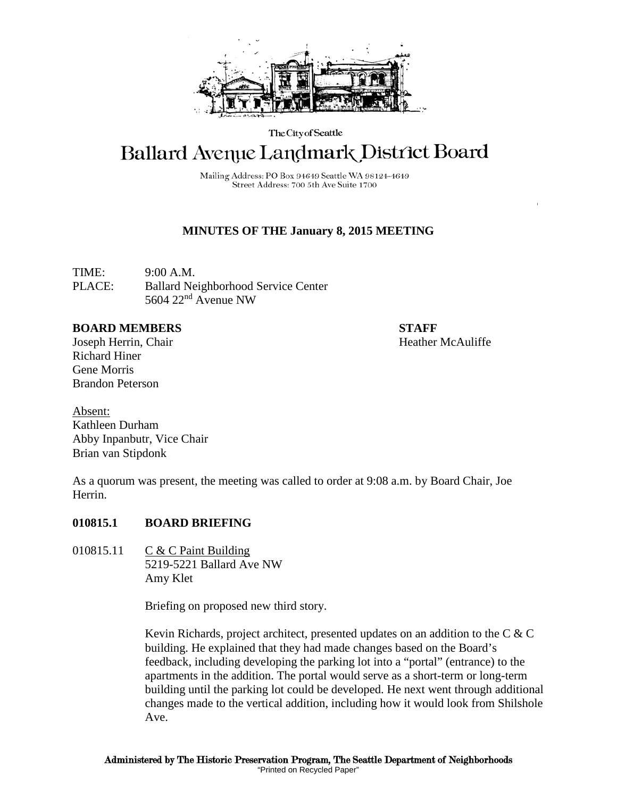

The City of Seattle

# Ballard Avenue Landmark District Board

Mailing Address: PO Box 94649 Seattle WA 98124-4649 Street Address: 700 5th Ave Suite 1700

## **MINUTES OF THE January 8, 2015 MEETING**

TIME: 9:00 A.M. PLACE: Ballard Neighborhood Service Center 5604 22nd Avenue NW

#### **BOARD MEMBERS STAFF**

Joseph Herrin, Chair **Heather McAuliffe Heather McAuliffe** Richard Hiner Gene Morris Brandon Peterson

Absent: Kathleen Durham Abby Inpanbutr, Vice Chair Brian van Stipdonk

As a quorum was present, the meeting was called to order at 9:08 a.m. by Board Chair, Joe Herrin.

#### **010815.1 BOARD BRIEFING**

010815.11 C & C Paint Building 5219-5221 Ballard Ave NW Amy Klet

Briefing on proposed new third story.

Kevin Richards, project architect, presented updates on an addition to the  $C \& C$ building. He explained that they had made changes based on the Board's feedback, including developing the parking lot into a "portal" (entrance) to the apartments in the addition. The portal would serve as a short-term or long-term building until the parking lot could be developed. He next went through additional changes made to the vertical addition, including how it would look from Shilshole Ave.